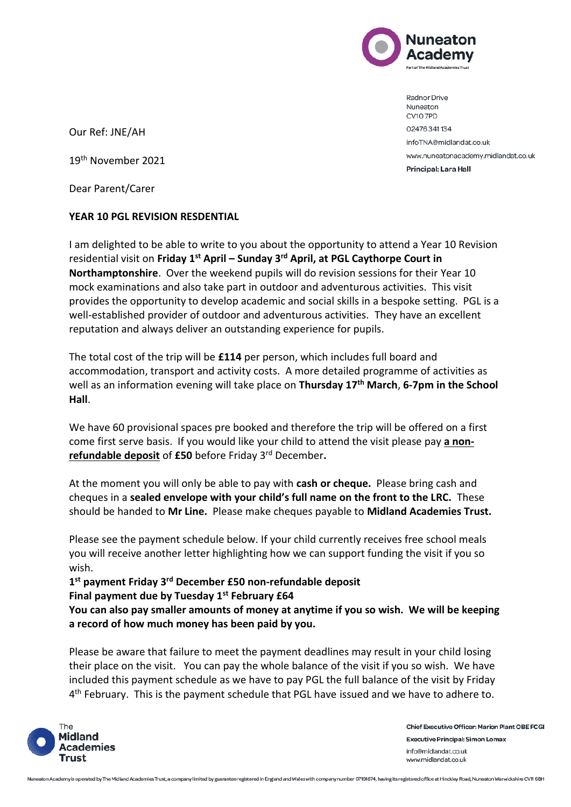

Radnor Drive Nuneaton CV10 7PD 02476341134 infoTNA@midlandat.co.uk www.nuneatonacademy.midlandat.co.uk Principal: Lara Hall

Our Ref: JNE/AH

19th November 2021

Dear Parent/Carer

## **YEAR 10 PGL REVISION RESDENTIAL**

I am delighted to be able to write to you about the opportunity to attend a Year 10 Revision residential visit on **Friday 1st April – Sunday 3rd April, at PGL Caythorpe Court in Northamptonshire**. Over the weekend pupils will do revision sessions for their Year 10 mock examinations and also take part in outdoor and adventurous activities. This visit provides the opportunity to develop academic and social skills in a bespoke setting. PGL is a well-established provider of outdoor and adventurous activities. They have an excellent reputation and always deliver an outstanding experience for pupils.

The total cost of the trip will be **£114** per person, which includes full board and accommodation, transport and activity costs. A more detailed programme of activities as well as an information evening will take place on **Thursday 17th March**, **6-7pm in the School Hall**.

We have 60 provisional spaces pre booked and therefore the trip will be offered on a first come first serve basis. If you would like your child to attend the visit please pay **a nonrefundable deposit** of **£50** before Friday 3rd December**.** 

At the moment you will only be able to pay with **cash or cheque.** Please bring cash and cheques in a **sealed envelope with your child's full name on the front to the LRC.** These should be handed to **Mr Line.** Please make cheques payable to **Midland Academies Trust.**

Please see the payment schedule below. If your child currently receives free school meals you will receive another letter highlighting how we can support funding the visit if you so wish.

**1 st payment Friday 3rd December £50 non-refundable deposit Final payment due by Tuesday 1st February £64**

**You can also pay smaller amounts of money at anytime if you so wish. We will be keeping a record of how much money has been paid by you.**

Please be aware that failure to meet the payment deadlines may result in your child losing their place on the visit. You can pay the whole balance of the visit if you so wish. We have included this payment schedule as we have to pay PGL the full balance of the visit by Friday 4<sup>th</sup> February. This is the payment schedule that PGL have issued and we have to adhere to.



**Chief Executive Officer: Marion Plant OBE FCGI Executive Principal: Simon Lomax** info@midlandat.co.uk www.midlandat.co.uk